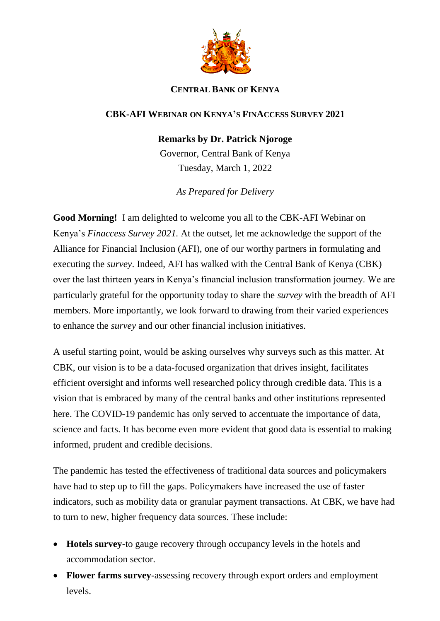

## **CENTRAL BANK OF KENYA**

## **CBK-AFI WEBINAR ON KENYA'S FINACCESS SURVEY 2021**

## **Remarks by Dr. Patrick Njoroge**

Governor, Central Bank of Kenya Tuesday, March 1, 2022

*As Prepared for Delivery*

**Good Morning!** I am delighted to welcome you all to the CBK-AFI Webinar on Kenya's *Finaccess Survey 2021.* At the outset, let me acknowledge the support of the Alliance for Financial Inclusion (AFI), one of our worthy partners in formulating and executing the *survey*. Indeed, AFI has walked with the Central Bank of Kenya (CBK) over the last thirteen years in Kenya's financial inclusion transformation journey. We are particularly grateful for the opportunity today to share the *survey* with the breadth of AFI members. More importantly, we look forward to drawing from their varied experiences to enhance the *survey* and our other financial inclusion initiatives.

A useful starting point, would be asking ourselves why surveys such as this matter. At CBK, our vision is to be a data-focused organization that drives insight, facilitates efficient oversight and informs well researched policy through credible data. This is a vision that is embraced by many of the central banks and other institutions represented here. The COVID-19 pandemic has only served to accentuate the importance of data, science and facts. It has become even more evident that good data is essential to making informed, prudent and credible decisions.

The pandemic has tested the effectiveness of traditional data sources and policymakers have had to step up to fill the gaps. Policymakers have increased the use of faster indicators, such as mobility data or granular payment transactions. At CBK, we have had to turn to new, higher frequency data sources. These include:

- **Hotels survey-**to gauge recovery through occupancy levels in the hotels and accommodation sector.
- **Flower farms survey**-assessing recovery through export orders and employment levels.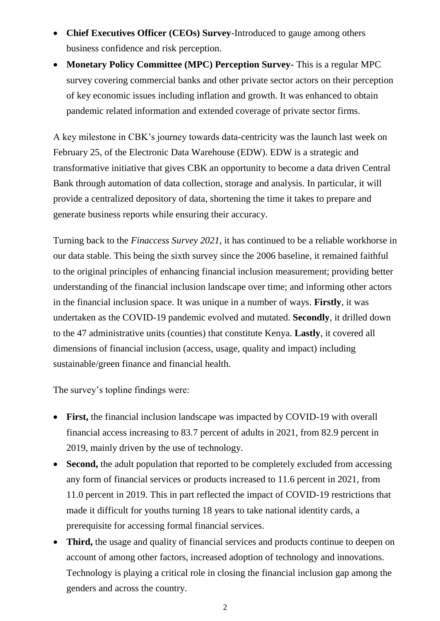- **Chief Executives Officer (CEOs) Survey**-Introduced to gauge among others business confidence and risk perception.
- **Monetary Policy Committee (MPC) Perception Survey-** This is a regular MPC survey covering commercial banks and other private sector actors on their perception of key economic issues including inflation and growth. It was enhanced to obtain pandemic related information and extended coverage of private sector firms.

A key milestone in CBK's journey towards data-centricity was the launch last week on February 25, of the Electronic Data Warehouse (EDW). EDW is a strategic and transformative initiative that gives CBK an opportunity to become a data driven Central Bank through automation of data collection, storage and analysis. In particular, it will provide a centralized depository of data, shortening the time it takes to prepare and generate business reports while ensuring their accuracy.

Turning back to the *Finaccess Survey 2021*, it has continued to be a reliable workhorse in our data stable. This being the sixth survey since the 2006 baseline, it remained faithful to the original principles of enhancing financial inclusion measurement; providing better understanding of the financial inclusion landscape over time; and informing other actors in the financial inclusion space. It was unique in a number of ways. **Firstly**, it was undertaken as the COVID-19 pandemic evolved and mutated. **Secondly**, it drilled down to the 47 administrative units (counties) that constitute Kenya. **Lastly**, it covered all dimensions of financial inclusion (access, usage, quality and impact) including sustainable/green finance and financial health.

The survey's topline findings were:

- **First,** the financial inclusion landscape was impacted by COVID-19 with overall financial access increasing to 83.7 percent of adults in 2021, from 82.9 percent in 2019, mainly driven by the use of technology.
- **Second,** the adult population that reported to be completely excluded from accessing any form of financial services or products increased to 11.6 percent in 2021, from 11.0 percent in 2019. This in part reflected the impact of COVID-19 restrictions that made it difficult for youths turning 18 years to take national identity cards, a prerequisite for accessing formal financial services.
- **Third,** the usage and quality of financial services and products continue to deepen on account of among other factors, increased adoption of technology and innovations. Technology is playing a critical role in closing the financial inclusion gap among the genders and across the country.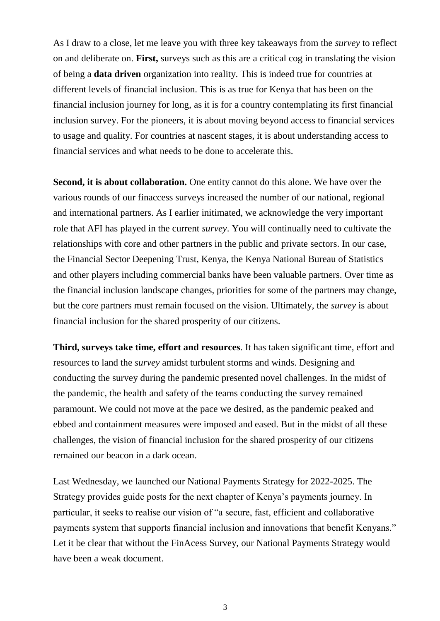As I draw to a close, let me leave you with three key takeaways from the *survey* to reflect on and deliberate on. **First,** surveys such as this are a critical cog in translating the vision of being a **data driven** organization into reality. This is indeed true for countries at different levels of financial inclusion. This is as true for Kenya that has been on the financial inclusion journey for long, as it is for a country contemplating its first financial inclusion survey. For the pioneers, it is about moving beyond access to financial services to usage and quality. For countries at nascent stages, it is about understanding access to financial services and what needs to be done to accelerate this.

**Second, it is about collaboration.** One entity cannot do this alone. We have over the various rounds of our finaccess surveys increased the number of our national, regional and international partners. As I earlier initimated, we acknowledge the very important role that AFI has played in the current *survey*. You will continually need to cultivate the relationships with core and other partners in the public and private sectors. In our case, the Financial Sector Deepening Trust, Kenya, the Kenya National Bureau of Statistics and other players including commercial banks have been valuable partners. Over time as the financial inclusion landscape changes, priorities for some of the partners may change, but the core partners must remain focused on the vision. Ultimately, the *survey* is about financial inclusion for the shared prosperity of our citizens.

**Third, surveys take time, effort and resources**. It has taken significant time, effort and resources to land the *survey* amidst turbulent storms and winds. Designing and conducting the survey during the pandemic presented novel challenges. In the midst of the pandemic, the health and safety of the teams conducting the survey remained paramount. We could not move at the pace we desired, as the pandemic peaked and ebbed and containment measures were imposed and eased. But in the midst of all these challenges, the vision of financial inclusion for the shared prosperity of our citizens remained our beacon in a dark ocean.

Last Wednesday, we launched our National Payments Strategy for 2022-2025. The Strategy provides guide posts for the next chapter of Kenya's payments journey. In particular, it seeks to realise our vision of "a secure, fast, efficient and collaborative payments system that supports financial inclusion and innovations that benefit Kenyans." Let it be clear that without the FinAcess Survey, our National Payments Strategy would have been a weak document.

3